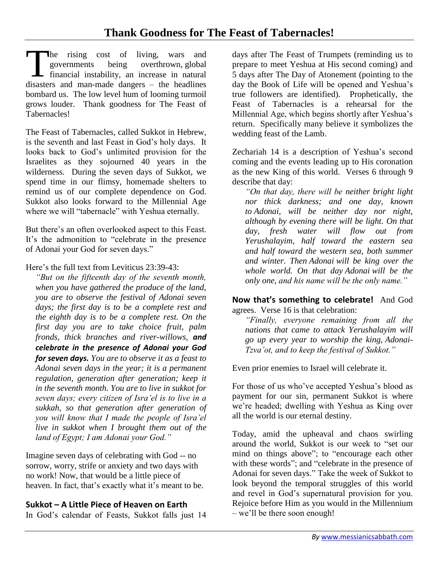he rising cost of living, wars and governments being overthrown, global The rising cost of living, wars and<br>governments being overthrown, global<br>financial instability, an increase in natural<br>disasters and man made denoming the headlines disasters and man-made dangers – the headlines bombard us. The low level hum of looming turmoil grows louder. Thank goodness for The Feast of Tabernacles!

The Feast of Tabernacles, called Sukkot in Hebrew, is the seventh and last Feast in God's holy days. It looks back to God's unlimited provision for the Israelites as they sojourned 40 years in the wilderness. During the seven days of Sukkot, we spend time in our flimsy, homemade shelters to remind us of our complete dependence on God. Sukkot also looks forward to the Millennial Age where we will "tabernacle" with Yeshua eternally.

But there's an often overlooked aspect to this Feast. It's the admonition to "celebrate in the presence of Adonai your God for seven days."

Here's the full text from Leviticus 23:39-43:

*"But on the fifteenth day of the seventh month, when you have gathered the produce of the land, you are to observe the festival of Adonai seven days; the first day is to be a complete rest and the eighth day is to be a complete rest. On the first day you are to take choice fruit, palm fronds, thick branches and river-willows, and celebrate in the presence of Adonai your God for seven days. You are to observe it as a feast to Adonai seven days in the year; it is a permanent regulation, generation after generation; keep it in the seventh month. You are to live in sukkot for seven days; every citizen of Isra'el is to live in a sukkah, so that generation after generation of you will know that I made the people of Isra'el live in sukkot when I brought them out of the land of Egypt; I am Adonai your God."*

Imagine seven days of celebrating with God -- no sorrow, worry, strife or anxiety and two days with no work! Now, that would be a little piece of heaven. In fact, that's exactly what it's meant to be.

# **Sukkot – A Little Piece of Heaven on Earth**

In God's calendar of Feasts, Sukkot falls just 14

days after The Feast of Trumpets (reminding us to prepare to meet Yeshua at His second coming) and 5 days after The Day of Atonement (pointing to the day the Book of Life will be opened and Yeshua's true followers are identified). Prophetically, the Feast of Tabernacles is a rehearsal for the Millennial Age, which begins shortly after Yeshua's return. Specifically many believe it symbolizes the wedding feast of the Lamb.

Zechariah 14 is a description of Yeshua's second coming and the events leading up to His coronation as the new King of this world. Verses 6 through 9 describe that day:

*"On that day, there will be neither bright light nor thick darkness; and one day, known to Adonai, will be neither day nor night, although by evening there will be light. On that day, fresh water will flow out from Yerushalayim, half toward the eastern sea and half toward the western sea, both summer and winter. Then Adonai will be king over the whole world. On that day Adonai will be the only one, and his name will be the only name."*

**Now that's something to celebrate!** And God agrees. Verse 16 is that celebration:

*"Finally, everyone remaining from all the nations that came to attack Yerushalayim will go up every year to worship the king, Adonai-Tzva'ot, and to keep the festival of Sukkot."*

Even prior enemies to Israel will celebrate it.

For those of us who've accepted Yeshua's blood as payment for our sin, permanent Sukkot is where we're headed; dwelling with Yeshua as King over all the world is our eternal destiny.

Today, amid the upheaval and chaos swirling around the world, Sukkot is our week to "set our mind on things above"; to "encourage each other with these words"; and "celebrate in the presence of Adonai for seven days." Take the week of Sukkot to look beyond the temporal struggles of this world and revel in God's supernatural provision for you. Rejoice before Him as you would in the Millennium – we'll be there soon enough!